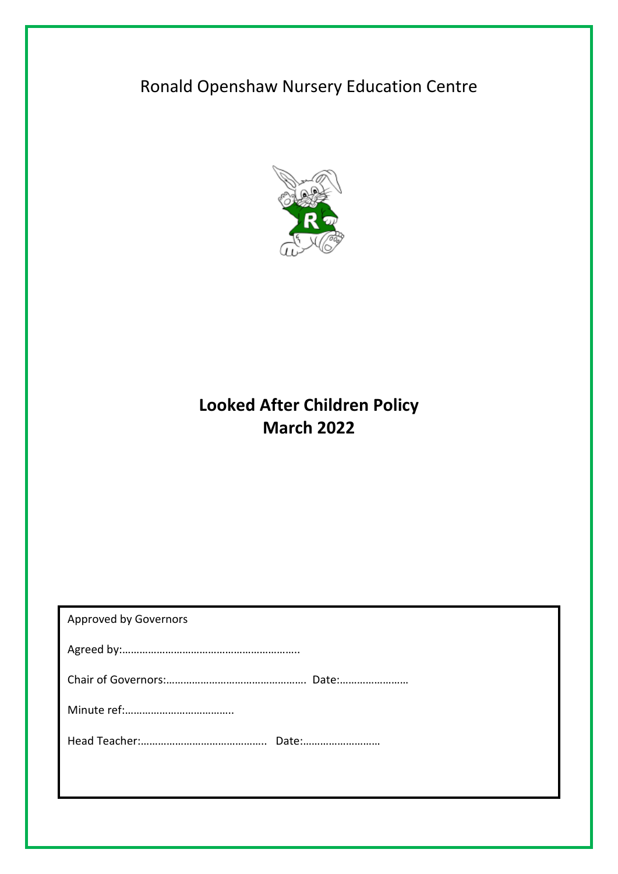# Ronald Openshaw Nursery Education Centre



## **Looked After Children Policy March 2022**

| <b>Approved by Governors</b> |
|------------------------------|
|                              |
|                              |
|                              |
|                              |
|                              |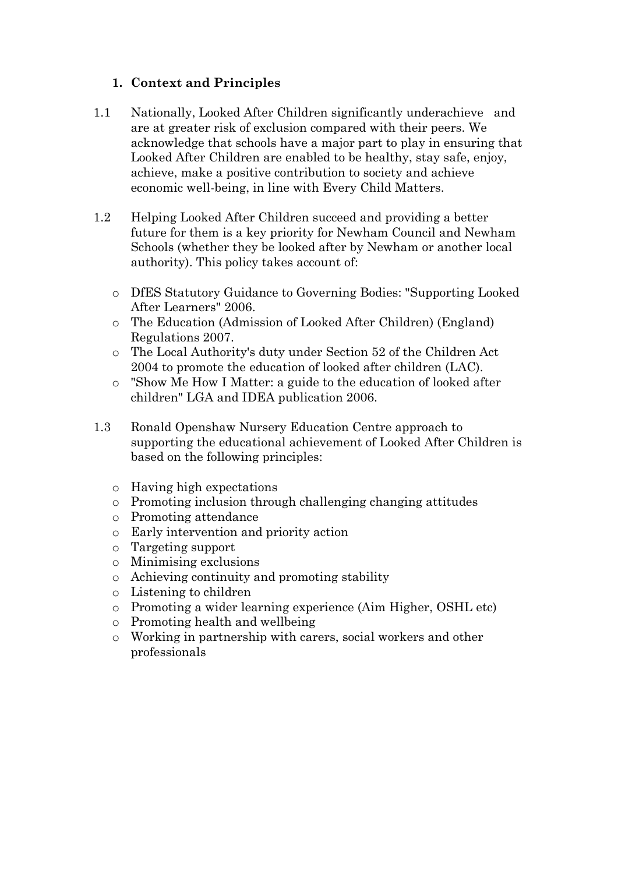#### **1. Context and Principles**

- 1.1 Nationally, Looked After Children significantly underachieve and are at greater risk of exclusion compared with their peers. We acknowledge that schools have a major part to play in ensuring that Looked After Children are enabled to be healthy, stay safe, enjoy, achieve, make a positive contribution to society and achieve economic well-being, in line with Every Child Matters.
- 1.2 Helping Looked After Children succeed and providing a better future for them is a key priority for Newham Council and Newham Schools (whether they be looked after by Newham or another local authority). This policy takes account of:
	- o DfES Statutory Guidance to Governing Bodies: "Supporting Looked After Learners" 2006.
	- o The Education (Admission of Looked After Children) (England) Regulations 2007.
	- o The Local Authority's duty under Section 52 of the Children Act 2004 to promote the education of looked after children (LAC).
	- o "Show Me How I Matter: a guide to the education of looked after children" LGA and IDEA publication 2006.
- 1.3 Ronald Openshaw Nursery Education Centre approach to supporting the educational achievement of Looked After Children is based on the following principles:
	- o Having high expectations
	- o Promoting inclusion through challenging changing attitudes
	- o Promoting attendance
	- o Early intervention and priority action
	- o Targeting support
	- o Minimising exclusions
	- o Achieving continuity and promoting stability
	- o Listening to children
	- o Promoting a wider learning experience (Aim Higher, OSHL etc)
	- o Promoting health and wellbeing
	- o Working in partnership with carers, social workers and other professionals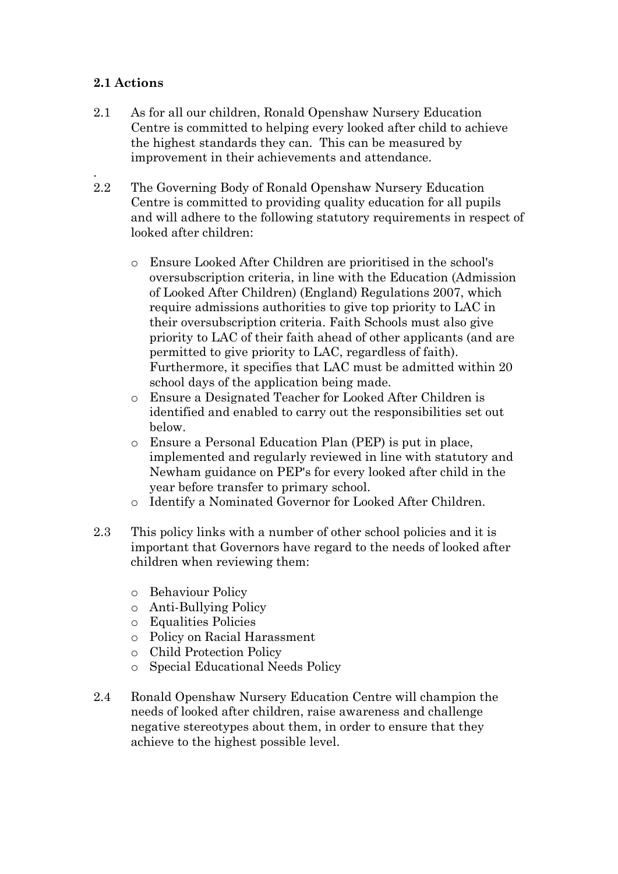#### **2.1 Actions**

.

- 2.1 As for all our children, Ronald Openshaw Nursery Education Centre is committed to helping every looked after child to achieve the highest standards they can. This can be measured by improvement in their achievements and attendance.
- 2.2 The Governing Body of Ronald Openshaw Nursery Education Centre is committed to providing quality education for all pupils and will adhere to the following statutory requirements in respect of looked after children:
	- o Ensure Looked After Children are prioritised in the school's oversubscription criteria, in line with the Education (Admission of Looked After Children) (England) Regulations 2007, which require admissions authorities to give top priority to LAC in their oversubscription criteria. Faith Schools must also give priority to LAC of their faith ahead of other applicants (and are permitted to give priority to LAC, regardless of faith). Furthermore, it specifies that LAC must be admitted within 20 school days of the application being made.
	- o Ensure a Designated Teacher for Looked After Children is identified and enabled to carry out the responsibilities set out below.
	- o Ensure a Personal Education Plan (PEP) is put in place, implemented and regularly reviewed in line with statutory and Newham guidance on PEP's for every looked after child in the year before transfer to primary school.
	- o Identify a Nominated Governor for Looked After Children.
- 2.3 This policy links with a number of other school policies and it is important that Governors have regard to the needs of looked after children when reviewing them:
	- o Behaviour Policy
	- o Anti-Bullying Policy
	- o Equalities Policies
	- o Policy on Racial Harassment
	- o Child Protection Policy
	- o Special Educational Needs Policy
- 2.4 Ronald Openshaw Nursery Education Centre will champion the needs of looked after children, raise awareness and challenge negative stereotypes about them, in order to ensure that they achieve to the highest possible level.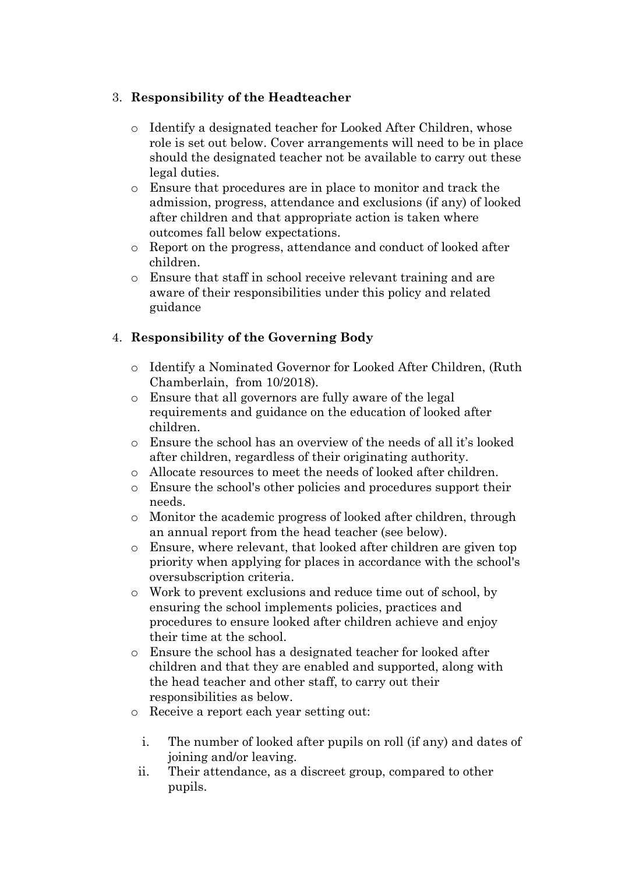#### 3. **Responsibility of the Headteacher**

- o Identify a designated teacher for Looked After Children, whose role is set out below. Cover arrangements will need to be in place should the designated teacher not be available to carry out these legal duties.
- o Ensure that procedures are in place to monitor and track the admission, progress, attendance and exclusions (if any) of looked after children and that appropriate action is taken where outcomes fall below expectations.
- o Report on the progress, attendance and conduct of looked after children.
- o Ensure that staff in school receive relevant training and are aware of their responsibilities under this policy and related guidance

#### 4. **Responsibility of the Governing Body**

- o Identify a Nominated Governor for Looked After Children, (Ruth Chamberlain, from 10/2018).
- o Ensure that all governors are fully aware of the legal requirements and guidance on the education of looked after children.
- o Ensure the school has an overview of the needs of all it's looked after children, regardless of their originating authority.
- o Allocate resources to meet the needs of looked after children.
- o Ensure the school's other policies and procedures support their needs.
- o Monitor the academic progress of looked after children, through an annual report from the head teacher (see below).
- o Ensure, where relevant, that looked after children are given top priority when applying for places in accordance with the school's oversubscription criteria.
- o Work to prevent exclusions and reduce time out of school, by ensuring the school implements policies, practices and procedures to ensure looked after children achieve and enjoy their time at the school.
- o Ensure the school has a designated teacher for looked after children and that they are enabled and supported, along with the head teacher and other staff, to carry out their responsibilities as below.
- o Receive a report each year setting out:
	- i. The number of looked after pupils on roll (if any) and dates of joining and/or leaving.
	- ii. Their attendance, as a discreet group, compared to other pupils.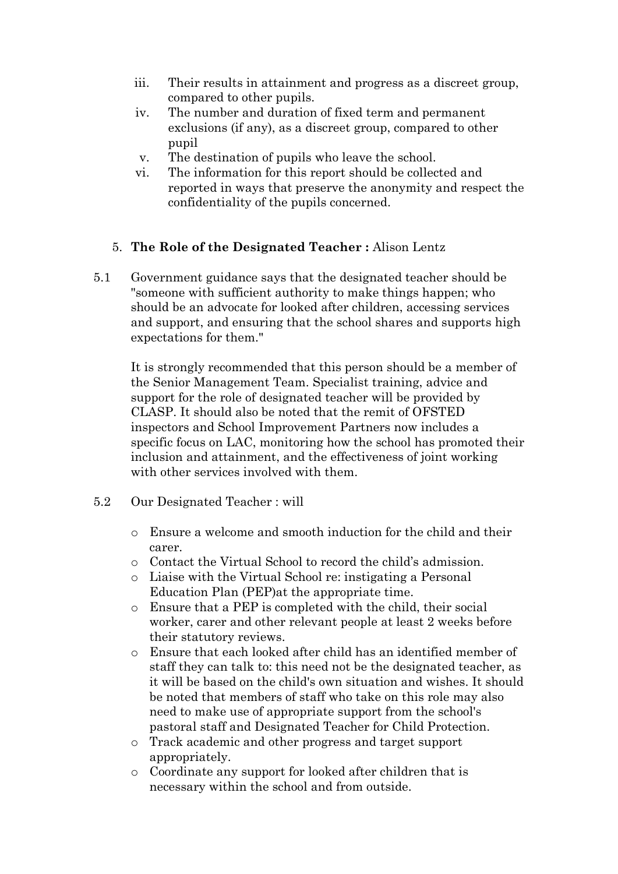- iii. Their results in attainment and progress as a discreet group, compared to other pupils.
- iv. The number and duration of fixed term and permanent exclusions (if any), as a discreet group, compared to other pupil
- v. The destination of pupils who leave the school.
- vi. The information for this report should be collected and reported in ways that preserve the anonymity and respect the confidentiality of the pupils concerned.

#### 5. **The Role of the Designated Teacher :** Alison Lentz

5.1 Government guidance says that the designated teacher should be "someone with sufficient authority to make things happen; who should be an advocate for looked after children, accessing services and support, and ensuring that the school shares and supports high expectations for them."

It is strongly recommended that this person should be a member of the Senior Management Team. Specialist training, advice and support for the role of designated teacher will be provided by CLASP. It should also be noted that the remit of OFSTED inspectors and School Improvement Partners now includes a specific focus on LAC, monitoring how the school has promoted their inclusion and attainment, and the effectiveness of joint working with other services involved with them.

- 5.2 Our Designated Teacher : will
	- o Ensure a welcome and smooth induction for the child and their carer.
	- o Contact the Virtual School to record the child's admission.
	- o Liaise with the Virtual School re: instigating a Personal Education Plan (PEP)at the appropriate time.
	- o Ensure that a PEP is completed with the child, their social worker, carer and other relevant people at least 2 weeks before their statutory reviews.
	- o Ensure that each looked after child has an identified member of staff they can talk to: this need not be the designated teacher, as it will be based on the child's own situation and wishes. It should be noted that members of staff who take on this role may also need to make use of appropriate support from the school's pastoral staff and Designated Teacher for Child Protection.
	- o Track academic and other progress and target support appropriately.
	- o Coordinate any support for looked after children that is necessary within the school and from outside.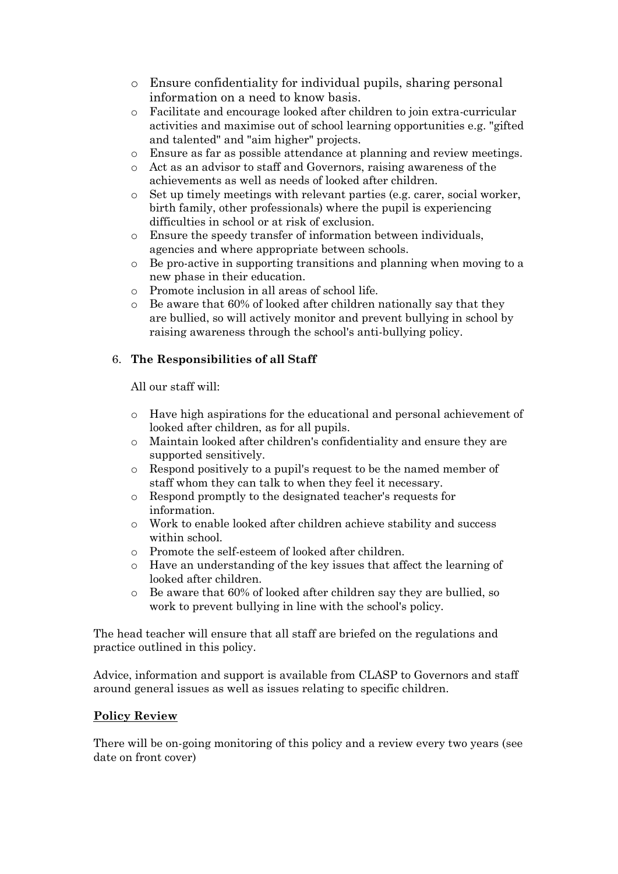- o Ensure confidentiality for individual pupils, sharing personal information on a need to know basis.
- o Facilitate and encourage looked after children to join extra-curricular activities and maximise out of school learning opportunities e.g. "gifted and talented" and "aim higher" projects.
- o Ensure as far as possible attendance at planning and review meetings.
- o Act as an advisor to staff and Governors, raising awareness of the achievements as well as needs of looked after children.
- $\circ$  Set up timely meetings with relevant parties (e.g. carer, social worker, birth family, other professionals) where the pupil is experiencing difficulties in school or at risk of exclusion.
- o Ensure the speedy transfer of information between individuals, agencies and where appropriate between schools.
- o Be pro-active in supporting transitions and planning when moving to a new phase in their education.
- o Promote inclusion in all areas of school life.
- o Be aware that 60% of looked after children nationally say that they are bullied, so will actively monitor and prevent bullying in school by raising awareness through the school's anti-bullying policy.

#### 6. **The Responsibilities of all Staff**

All our staff will:

- o Have high aspirations for the educational and personal achievement of looked after children, as for all pupils.
- o Maintain looked after children's confidentiality and ensure they are supported sensitively.
- o Respond positively to a pupil's request to be the named member of staff whom they can talk to when they feel it necessary.
- o Respond promptly to the designated teacher's requests for information.
- o Work to enable looked after children achieve stability and success within school.
- o Promote the self-esteem of looked after children.
- o Have an understanding of the key issues that affect the learning of looked after children.
- o Be aware that 60% of looked after children say they are bullied, so work to prevent bullying in line with the school's policy.

The head teacher will ensure that all staff are briefed on the regulations and practice outlined in this policy.

Advice, information and support is available from CLASP to Governors and staff around general issues as well as issues relating to specific children.

#### **Policy Review**

There will be on-going monitoring of this policy and a review every two years (see date on front cover)